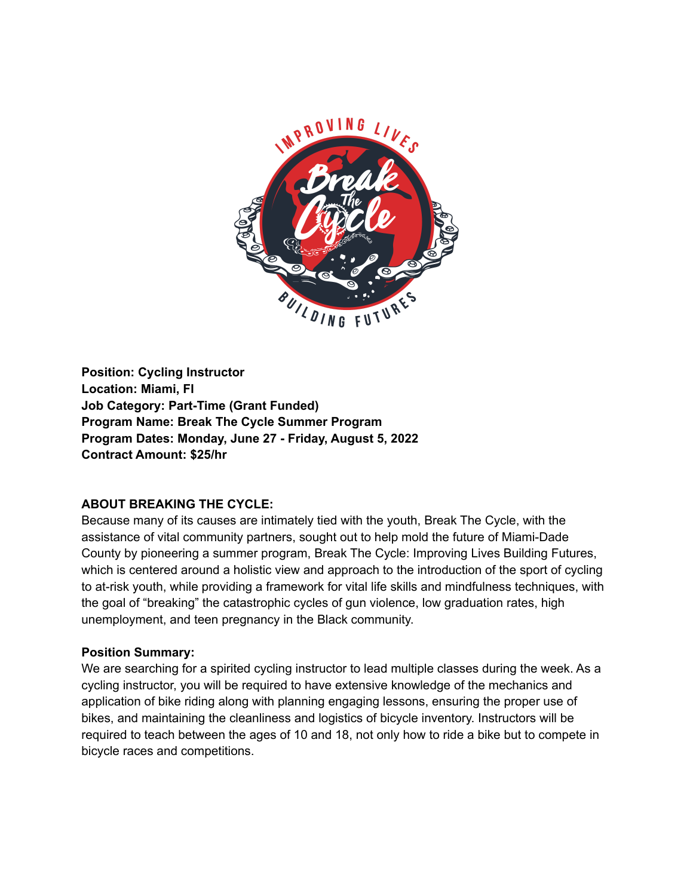

**Position: Cycling Instructor Location: Miami, Fl Job Category: Part-Time (Grant Funded) Program Name: Break The Cycle Summer Program Program Dates: Monday, June 27 - Friday, August 5, 2022 Contract Amount: \$25/hr**

### **ABOUT BREAKING THE CYCLE:**

Because many of its causes are intimately tied with the youth, Break The Cycle, with the assistance of vital community partners, sought out to help mold the future of Miami-Dade County by pioneering a summer program, Break The Cycle: Improving Lives Building Futures, which is centered around a holistic view and approach to the introduction of the sport of cycling to at-risk youth, while providing a framework for vital life skills and mindfulness techniques, with the goal of "breaking" the catastrophic cycles of gun violence, low graduation rates, high unemployment, and teen pregnancy in the Black community.

#### **Position Summary:**

We are searching for a spirited cycling instructor to lead multiple classes during the week. As a cycling instructor, you will be required to have extensive knowledge of the mechanics and application of bike riding along with planning engaging lessons, ensuring the proper use of bikes, and maintaining the cleanliness and logistics of bicycle inventory. Instructors will be required to teach between the ages of 10 and 18, not only how to ride a bike but to compete in bicycle races and competitions.